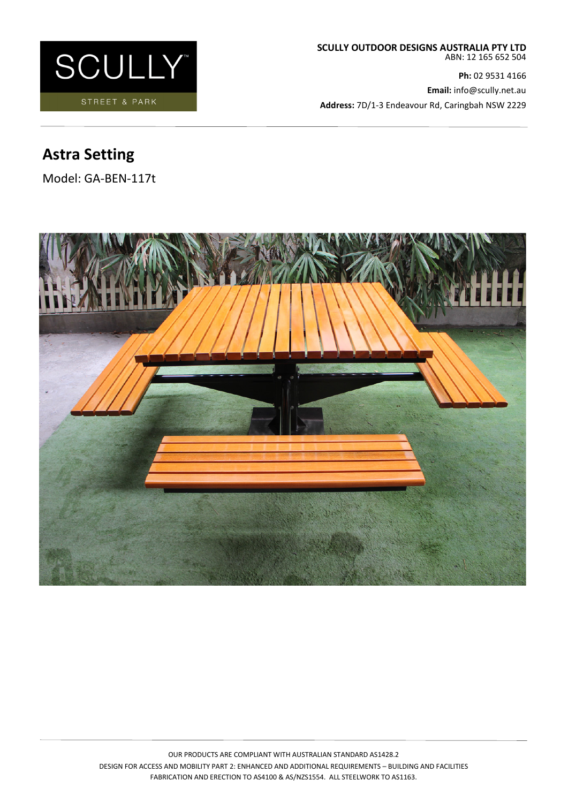

**Ph:** 02 9531 4166 **Email:** info@scully.net.au **Address:** 7D/1-3 Endeavour Rd, Caringbah NSW 2229

# **Astra Setting**

Model: GA-BEN-117t